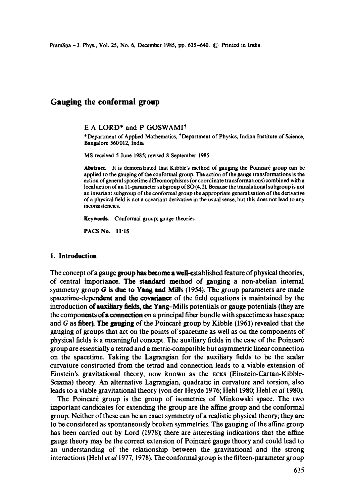# **Gauging the conformal group**

## E A LORD\* and P GOSWAMI\*

\* Department of Applied Mathematics, <sup>†</sup> Department of Physics, Indian Institute of Science, Bangalore 560012, India

MS received 5 June 1985; revised 8 September 1985

Abstract. It is demonstrated that Kibble's method of gauging the Poincaré group can be applied to the gauging of the conformal group. The action of the gauge transformations is the action ofgeneral spacetime diffeomorphisms (or coordinate transformations) combined with a local action of an I l-parameter subgroup of SO (4, 2). Because the translational subgroup is not an invariant subgroup of the conformal group the appropriate generalisation of the derivative of a physical field is not a covariant derivative in the usual sense, but this does not lead to any inconsistencies.

**Keywords.** Conformai group; gauge theories.

PACS No. 11"15

## **1. Introduction**

The concept of a gauge group has become a well-established feature of physical theories, of central importance. The standard method of gauging a non-abelian internal symmetry group G is due to Yang and Mills (1954). The group parameters are made spacetime-dependent and the covariance of the field equations is maintained by the introduction of auxiliary fields, the Yang-Milis potentials or gauge potentials (they are the components of a connection on a principal fiber bundle with spacetime as base space and  $G$  as fiber). The gauging of the Poincaré group by Kibble (1961) revealed that the gauging of groups that act on the points of spacetime as well as on the components of physical fields is a meaningful concept. The auxiliary fields in the case of the Poincar6 group are essentially a tetrad and a metric-compatible but asymmetric linear connection on the spacetime. Taking the Lagrangian for the auxiliary fields to be the scalar curvature constructed from the tetrad and connection leads to a viable extension of Einstein's gravitational theory, now known as the ECKS (Einstein-Cartan-Kibble-Sciama) theory. An alternative Lagrangian, quadratic in curvature and torsion, also leads to a viable gravitational theory (vonder Heyde 1976; Hehl 1980; Hehl *et al* 1980).

The Poincaré group is the group of isometries of Minkowski space. The two important candidates for extending the group are the affine group and the conformal group. Neither of these can be an exact symmetry of a realistic physical theory; they are to be considered as spontaneously broken symmetries. The gauging of the affine group has been carried out by Lord (1978); there are interesting indications that the affine gauge theory may be the correct extension of Poincaré gauge theory and could lead to an understanding of the relationship between the gravitational and the strong interactions (Hehl *et a11977,* 1978). The conformal group is the fifteen-parameter group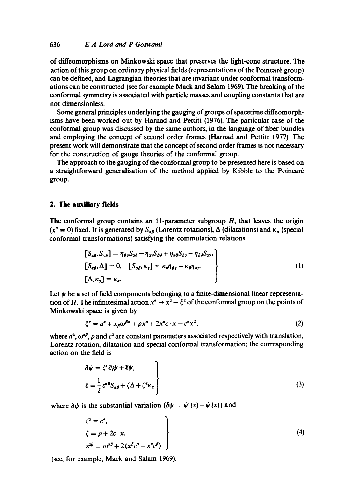of diffeomorphisms on Minkowski space that preserves the light-cone structure. The action of this group on ordinary physical fields (representations of the Poincaré group) can be defined, and Lagrangian theories that are invariant under conformal transformations can be constructed (see for example Mack and Salam 1969). The breaking of the conformal symmetry is associated with particle masses and coupling constants that are not dimensionless.

Some general principles underlying the gauging of groups of spacetime diffeomorphisms have been worked out by Harnad and Pettitt (1976). The particular case of the conformal group was discussed by the same authors, in the language of fiber bundles and employing the concept of second order frames (Harnad and Pettitt 1977). The present work will demonstrate that the concept of second order frames is not necessary for the construction of gauge theories of the conformal group.

The approach to the gauging of the conformal group to be presented here is based on a straightforward generalisation of the method applied by Kibble to the Poincar6 group.

#### **2. The auxiliary fields**

The conformal group contains an  $11$ -parameter subgroup  $H$ , that leaves the origin  $(x^{\alpha} = 0)$  fixed. It is generated by  $S_{\alpha\beta}$  (Lorentz rotations),  $\Delta$  (dilatations) and  $\kappa_{\alpha}$  (special conformal transformations) satisfying the commutation relations

$$
\begin{aligned}\n\left[S_{\alpha\beta}, S_{\gamma\delta}\right] &= \eta_{\beta\gamma} S_{\alpha\delta} - \eta_{\alpha\gamma} S_{\beta\delta} + \eta_{\alpha\delta} S_{\beta\gamma} - \eta_{\beta\delta} S_{\alpha\gamma}, \\
\left[S_{\alpha\beta}, \Delta\right] &= 0, \quad \left[S_{\alpha\beta}, \kappa_{\gamma}\right] = \kappa_{\alpha} \eta_{\beta\gamma} - \kappa_{\beta} \eta_{\alpha\gamma}, \\
\left[\Delta, \kappa_{\alpha}\right] &= \kappa_{\alpha}.\n\end{aligned}\n\tag{1}
$$

Let  $\psi$  be a set of field components belonging to a finite-dimensional linear representation of H. The infinitesimal action  $x^{\alpha} \to x^{\alpha} - \xi^{\alpha}$  of the conformal group on the points of Minkowski space is given by

$$
\xi^{\alpha} = a^{\alpha} + x_{\beta}\omega^{\beta\alpha} + \rho x^{\alpha} + 2x^{\alpha}c \cdot x - c^{\alpha}x^2,\tag{2}
$$

where  $a^{\alpha}$ ,  $\omega^{\alpha\beta}$ ,  $\rho$  and  $c^{\alpha}$  are constant parameters associated respectively with translation, Lorentz rotation, dilatation and special conformal transformation; the corresponding action on the field is

$$
\delta \psi = \xi^{i} \partial_{i} \psi + \overline{\epsilon} \psi,
$$
\n
$$
\bar{\epsilon} = \frac{1}{2} \epsilon^{\alpha \beta} S_{\alpha \beta} + \zeta \Delta + \zeta^{\alpha} \kappa_{\alpha}
$$
\n(3)

where  $\delta \psi$  is the substantial variation  $(\delta \psi = \psi'(x) - \psi(x))$  and

$$
\zeta^{a} = c^{a},
$$
  
\n
$$
\zeta = \rho + 2c \cdot x,
$$
  
\n
$$
\zeta^{a\beta} = \omega^{a\beta} + 2(x^{\beta}c^{a} - x^{a}c^{\beta})
$$
\n(4)

(see, for example, Mack and Salam 1969).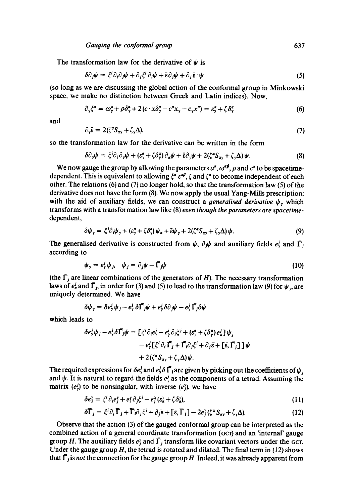The transformation law for the derivative of  $\psi$  is

$$
\delta \partial_j \psi = \xi^i \partial_i \partial_j \psi + \partial_j \xi^i \partial_i \psi + \tilde{\epsilon} \partial_j \psi + \partial_j \tilde{\epsilon} \cdot \psi \tag{5}
$$

(so long as we are discussing the global action of the conformal group in Minkowski space, we make no distinction between Greek and Latin indices). Now,

$$
\partial_{\gamma}\xi^{\alpha} = \omega_{\gamma}^{\alpha} + \rho \delta_{\gamma}^{\alpha} + 2(c \cdot x \delta_{\gamma}^{\alpha} - c^{\alpha} x_{\gamma} - c_{\gamma} x^{\alpha}) = \varepsilon_{\gamma}^{\alpha} + \zeta \delta_{\gamma}^{\alpha}
$$
(6)

and

$$
\partial_{\gamma}\bar{\varepsilon} = 2(\zeta^{\alpha}S_{\alpha\gamma} + \zeta_{\gamma}\Delta). \tag{7}
$$

so the transformation law for the derivative can be written in the form

$$
\delta \partial_{\gamma} \psi = \xi^{i} \partial_{i} \partial_{\gamma} \psi + (\varepsilon_{\gamma}^{\alpha} + \zeta \delta_{\gamma}^{\alpha}) \partial_{\alpha} \psi + \bar{\varepsilon} \partial_{\gamma} \psi + 2(\zeta^{\alpha} S_{\alpha\gamma} + \zeta_{\gamma} \Delta) \psi. \tag{8}
$$

We now gauge the group by allowing the parameters  $a^{\alpha}$ ,  $\omega^{\alpha\beta}$ ,  $\rho$  and  $c^{\alpha}$  to be spacetimedependent. This is equivalent to allowing  $\xi^{\alpha} \varepsilon^{\alpha \beta}$ ,  $\zeta$  and  $\zeta^{\alpha}$  to become independent of each other. The relations  $(6)$  and  $(7)$  no longer hold, so that the transformation law  $(5)$  of the derivative does not have the form (8). We now apply the usual Yang-Mills prescription: with the aid of auxiliary fields, we can construct a *generalised derivative*  $\psi$ <sub>r</sub> which transforms with a transformation law like (8) *even though the parameters are spacetime*dependent,

$$
\delta \psi_{\gamma} = \xi^{i} \partial_{i} \psi_{\gamma} + (\varepsilon_{\gamma}^{a} + \zeta \delta_{\gamma}^{a}) \psi_{\alpha} + \bar{\varepsilon} \psi_{\gamma} + 2(\zeta^{a} S_{a\gamma} + \zeta_{\gamma} \Delta) \psi.
$$
 (9)

The generalised derivative is constructed from  $\psi$ ,  $\partial_j \psi$  and auxiliary fields  $e^j$  and  $\bar{\Gamma}_j$ according to

$$
\psi_{y} = e_{y}^{i} \psi_{j}, \quad \psi_{j} = \partial_{j} \psi - \bar{\Gamma}_{j} \psi \tag{10}
$$

(the  $\Gamma_j$  are linear combinations of the generators of H). The necessary transformation laws of  $e^j_a$  and  $\overline{\Gamma}_j$ , in order for (3) and (5) to lead to the transformation law (9) for  $\psi_{\gamma}$ , are uniquely determined. We have

$$
\delta\psi_{\gamma} = \delta e_{\gamma}^{j} \psi_{j} - e_{\gamma}^{j} \delta \vec{\Gamma}_{j} \psi + e_{\gamma}^{j} \delta \partial_{j} \psi - e_{\gamma}^{j} \vec{\Gamma}_{j} \delta \psi
$$

which leads to

$$
\delta e_{\gamma}^{j} \psi_{j} - e_{\gamma}^{j} \delta \overline{\Gamma}_{j} \psi = \left[ \xi^{i} \partial_{i} e_{\gamma}^{j} - e_{\gamma}^{i} \partial_{i} \xi^{j} + (\varepsilon_{\gamma}^{a} + \zeta \delta_{\gamma}^{a}) e_{a}^{j} \right] \psi_{j}
$$

$$
- e_{\gamma}^{j} \left[ \xi^{i} \partial_{i} \overline{\Gamma}_{j} + \overline{\Gamma}_{i} \partial_{j} \xi^{i} + \partial_{j} \overline{\varepsilon} + \left[ \overline{\varepsilon}, \overline{\Gamma}_{j} \right] \right] \psi
$$

$$
+ 2 (\zeta^{a} S_{\alpha\gamma} + \zeta_{\gamma} \Delta) \psi.
$$

The required expressions for  $\delta e^j$  and  $e^j$   $\delta \Gamma_j$  are given by picking out the coefficients of  $\psi_i$ and  $\psi$ . It is natural to regard the fields  $e^i$ , as the components of a tetrad. Assuming the matrix  $(e<sub>y</sub>)$  to be nonsingular, with inverse  $(e<sub>y</sub>)$ , we have

$$
\delta e_j^{\gamma} = \xi^i \partial_i e_j^{\gamma} + e_i^{\gamma} \partial_j \xi^i - e_j^{\alpha} (e_{\alpha}^{\gamma} + \zeta \delta_{\alpha}^{\gamma}), \tag{11}
$$

$$
\delta \overline{\Gamma}_j = \xi^i \partial_i \overline{\Gamma}_j + \overline{\Gamma}_i \partial_j \xi^i + \partial_j \overline{\epsilon} + [\overline{\epsilon}, \overline{\Gamma}_j] - 2e^{\nu}_j (\zeta^* S_{\alpha \gamma} + \zeta_{\gamma} \Delta). \tag{12}
$$

Observe that the action (3) of the gauged conformal group can be interpreted as the combined action of a general coordinate transformation (GCT) and an 'internal' gauge group H. The auxiliary fields  $e_j^x$  and  $\overline{\Gamma}_j$  transform like covariant vectors under the GCT. Under the gauge group  $H$ , the tetrad is rotated and dilated. The final term in (12) shows that  $\bar{\Gamma}_j$  is *not* the connection for the gauge group H. Indeed, it was already apparent from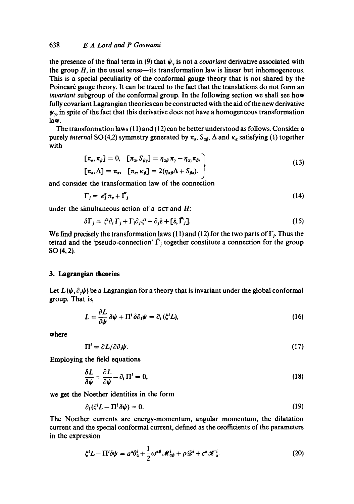## 638 *E A Lord and P Goswami*

the presence of the final term in (9) that  $\psi$ , is not a *covariant* derivative associated with the group  $H$ , in the usual sense—its transformation law is linear but inhomogeneous. This is a special peculiarity of the conformal gauge theory that is not shared by the Poincaré gauge theory. It can be traced to the fact that the translations do not form an *invariant* subgroup of the conformal group. In the following section we shall see how fully covariant Lagrangian theories can be constructed with the aid of the new derivative  $\psi_{\nu}$ , in spite of the fact that this derivative does not have a homogeneous transformation law.

The transformation laws (11) and (12) can be better understood as follows. Consider a purely *internal* SO(4,2) symmetry generated by  $\pi_{\alpha}$ ,  $S_{\alpha\beta}$ ,  $\Delta$  and  $\kappa_{\alpha}$  satisfying (1) together with

$$
[\pi_{\alpha}, \pi_{\beta}] = 0, [\pi_{\alpha}, S_{\beta_{\gamma}}] = \eta_{\alpha\beta} \pi_{\gamma} - \eta_{\alpha\gamma} \pi_{\beta},
$$
  

$$
[\pi_{\alpha}, \Delta] = \pi_{\alpha}, [\pi_{\alpha}, \kappa_{\beta}] = 2(\eta_{\alpha\beta}\Delta + S_{\beta\alpha}).
$$
 (13)

and consider the transformation law of the connection

$$
\Gamma_j = e_j^{\alpha} \pi_{\alpha} + \bar{\Gamma}_j \tag{14}
$$

under the simultaneous action of a GCT and  $H$ :

$$
\delta\Gamma_j = \xi^i \partial_i \Gamma_j + \Gamma_i \partial_j \xi^i + \partial_j \bar{\varepsilon} + [\bar{\varepsilon}, \bar{\Gamma}_j]. \tag{15}
$$

We find precisely the transformation laws (11) and (12) for the two parts of  $\Gamma_i$ . Thus the tetrad and the 'pseudo-connection'  $\overline{\Gamma}_i$  together constitute a connection for the group SO (4, 2).

#### **3. Lagrangian theories**

Let  $L(\psi, \partial_{\psi}\psi)$  be a Lagrangian for a theory that is invariant under the global conformal group. That is,

$$
L = \frac{\partial L}{\partial \psi} \, \delta \psi + \Pi^i \, \delta \partial_i \psi = \partial_i \, (\xi^i L), \tag{16}
$$

**where** 

$$
\Pi^{i} = \partial L / \partial \partial_{i} \psi. \tag{17}
$$

Employing the field equations

$$
\frac{\delta L}{\delta \psi} = \frac{\partial L}{\partial \psi} - \partial_i \Pi^i = 0, \tag{18}
$$

we get the Noether identities in the form

$$
\partial_i(\xi^i L - \Pi^i \delta \psi) = 0. \tag{19}
$$

The Noether currents are energy-momentum, angular momentum, the dilatation current and the special conformal current, defined as the ceoflicients of the parameters in the expression

$$
\xi^{i}L - \Pi^{i}\delta\psi = a^{a}\theta_{\alpha}^{i} + \frac{1}{2}\omega^{a\beta}\mathscr{M}_{\alpha\beta}^{i} + \rho\mathscr{D}^{i} + c^{a}\mathscr{K}_{\alpha}^{i}.
$$
 (20)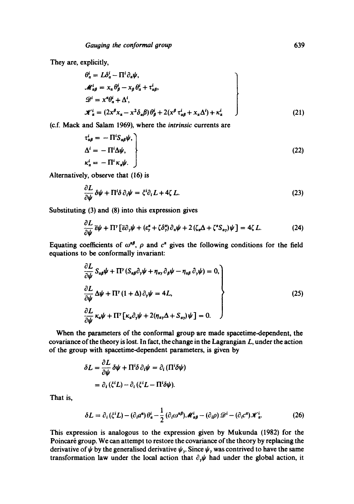They are, explicitly,

$$
\theta_{\alpha}^{i} = L\delta_{\alpha}^{i} - \Pi^{i} \partial_{\alpha} \psi,
$$
  
\n
$$
\mathcal{M}_{\alpha\beta}^{i} = x_{\alpha} \theta_{\beta}^{i} - x_{\beta} \theta_{\alpha}^{i} + \tau_{\alpha\beta}^{i},
$$
  
\n
$$
\mathcal{D}^{i} = x^{\alpha} \theta_{\alpha}^{i} + \Delta^{i},
$$
  
\n
$$
\mathcal{K}_{\alpha}^{i} = (2x^{\beta} x_{\alpha} - x^2 \delta_{\alpha} \beta) \theta_{\beta}^{i} + 2(x^{\beta} \tau_{\alpha\beta}^{i} + x_{\alpha} \Delta^{i}) + \kappa_{\alpha}^{i}
$$
\n(21)

(c.f. Mack and Salam 1969), where the *intrinsic* currents are

$$
\tau_{\alpha\beta}^{i} = -\Pi^{i} S_{\alpha\beta} \psi,
$$
\n
$$
\Delta^{i} = -\Pi^{i} \Delta \psi,
$$
\n
$$
\kappa_{\alpha}^{i} = -\Pi^{i} \kappa_{\alpha} \psi.
$$
\n(22)

Alternatively, observe that (16) is

$$
\frac{\partial L}{\partial \psi} \delta \psi + \Pi^i \delta \partial_i \psi = \xi^i \partial_i L + 4\zeta L. \tag{23}
$$

Substituting (3) and (8) into this expression gives

$$
\frac{\partial L}{\partial \psi} \overline{\epsilon} \psi + \Pi^{\gamma} \left[ \overline{\epsilon} \partial_{\gamma} \psi + (\epsilon^{\alpha}_{\gamma} + \zeta \delta^{\alpha}_{\gamma}) \partial_{\alpha} \psi + 2 \left( \zeta_{\alpha} \Delta + \zeta^{\alpha} S_{\alpha \gamma} \right) \psi \right] = 4 \zeta L. \tag{24}
$$

Equating coefficients of  $\omega^{\alpha\beta}$ ,  $\rho$  and  $c^{\alpha}$  gives the following conditions for the field equations to be conformally invariant:

$$
\frac{\partial L}{\partial \psi} S_{\alpha\beta} \psi + \Pi^{\gamma} (S_{\alpha\beta} \partial_{\gamma} \psi + \eta_{\alpha\gamma} \partial_{\beta} \psi - \eta_{\alpha\beta} \partial_{\gamma} \psi) = 0,
$$
\n
$$
\frac{\partial L}{\partial \psi} \Delta \psi + \Pi^{\gamma} (1 + \Delta) \partial_{\gamma} \psi = 4L,
$$
\n
$$
\frac{\partial L}{\partial \psi} \kappa_{\alpha} \psi + \Pi^{\gamma} [\kappa_{\alpha} \partial_{\gamma} \psi + 2(\eta_{\alpha\gamma} \Delta + S_{\alpha\gamma}) \psi] = 0.
$$
\n(25)

When the parameters of the conformal group are made spaeetime-dependent, the covariance of the theory is lost. In fact, the change in the Lagrangian L, under the action of the group with spacetime-dependent parameters, is given by

$$
\delta L = \frac{\partial L}{\partial \psi} \delta \psi + \Pi^i \delta \partial_i \psi = \partial_i (\Pi^i \delta \psi)
$$
  
=  $\partial_i (\xi^i L) - \partial_i (\xi^i L - \Pi^i \delta \psi).$ 

That is,

$$
\delta L = \partial_i (\xi^i L) - (\partial_i a^a) \theta^i_a - \frac{1}{2} (\partial_i \omega^{a\beta}) \mathcal{M}^i_{a\beta} - (\partial_i \rho) \mathcal{D}^i - (\partial_i c^a) \mathcal{X}^i_a.
$$
 (26)

This expression is analogous to the expression given by Mukunda (1982) for the Poincaré group. We can attempt to restore the covariance of the theory by replacing the derivative of  $\psi$  by the generalised derivative  $\psi_y$ . Since  $\psi_y$  was contrived to have the same transformation law under the local action that  $\partial_{y}\psi$  had under the global action, it